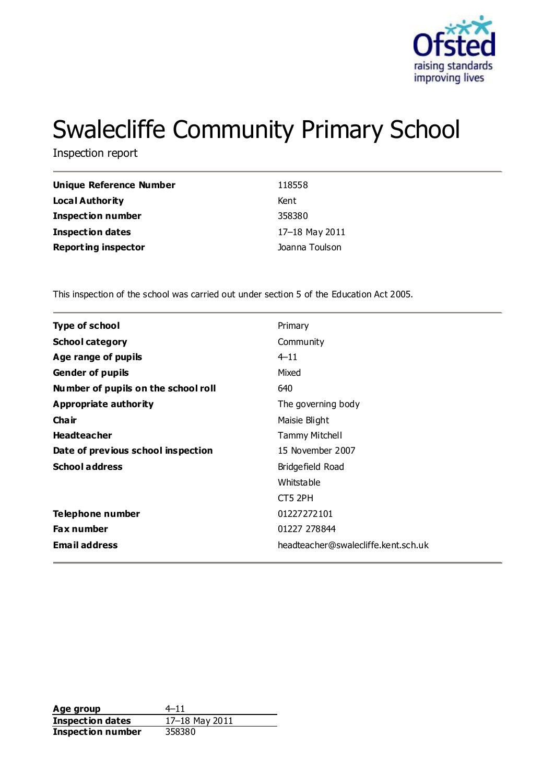

# Swalecliffe Community Primary School

Inspection report

| <b>Unique Reference Number</b> | 118558         |
|--------------------------------|----------------|
| <b>Local Authority</b>         | Kent           |
| <b>Inspection number</b>       | 358380         |
| <b>Inspection dates</b>        | 17-18 May 2011 |
| <b>Reporting inspector</b>     | Joanna Toulson |

This inspection of the school was carried out under section 5 of the Education Act 2005.

| <b>Type of school</b>               | Primary                             |
|-------------------------------------|-------------------------------------|
| <b>School category</b>              | Community                           |
| Age range of pupils                 | $4 - 11$                            |
| <b>Gender of pupils</b>             | Mixed                               |
| Number of pupils on the school roll | 640                                 |
| Appropriate authority               | The governing body                  |
| Cha ir                              | Maisie Blight                       |
| <b>Headteacher</b>                  | <b>Tammy Mitchell</b>               |
| Date of previous school inspection  | 15 November 2007                    |
| <b>School address</b>               | Bridgefield Road                    |
|                                     | <b>Whitstable</b>                   |
|                                     | CT5 2PH                             |
| Telephone number                    | 01227272101                         |
| <b>Fax number</b>                   | 01227 278844                        |
| <b>Email address</b>                | headteacher@swalecliffe.kent.sch.uk |
|                                     |                                     |

Age group  $4-11$ **Inspection dates** 17–18 May 2011 **Inspection number** 358380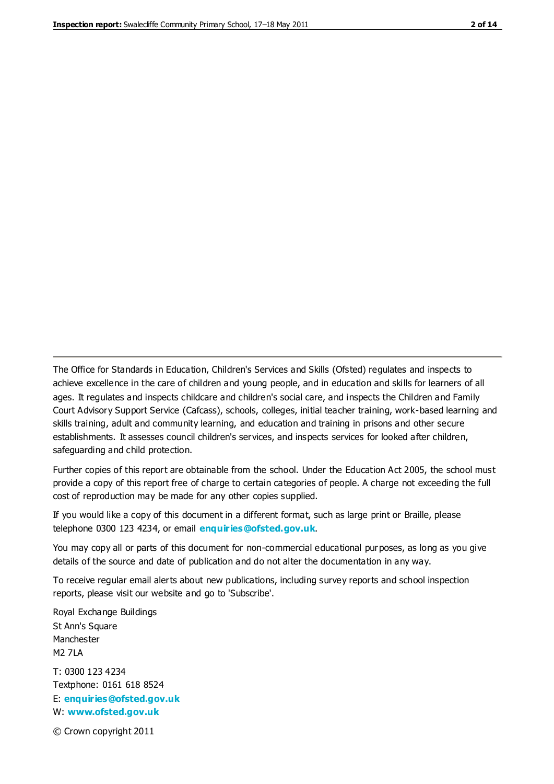The Office for Standards in Education, Children's Services and Skills (Ofsted) regulates and inspects to achieve excellence in the care of children and young people, and in education and skills for learners of all ages. It regulates and inspects childcare and children's social care, and inspects the Children and Family Court Advisory Support Service (Cafcass), schools, colleges, initial teacher training, work-based learning and skills training, adult and community learning, and education and training in prisons and other secure establishments. It assesses council children's services, and inspects services for looked after children, safeguarding and child protection.

Further copies of this report are obtainable from the school. Under the Education Act 2005, the school must provide a copy of this report free of charge to certain categories of people. A charge not exceeding the full cost of reproduction may be made for any other copies supplied.

If you would like a copy of this document in a different format, such as large print or Braille, please telephone 0300 123 4234, or email **[enquiries@ofsted.gov.uk](mailto:enquiries@ofsted.gov.uk)**.

You may copy all or parts of this document for non-commercial educational purposes, as long as you give details of the source and date of publication and do not alter the documentation in any way.

To receive regular email alerts about new publications, including survey reports and school inspection reports, please visit our website and go to 'Subscribe'.

Royal Exchange Buildings St Ann's Square Manchester M2 7LA T: 0300 123 4234 Textphone: 0161 618 8524 E: **[enquiries@ofsted.gov.uk](mailto:enquiries@ofsted.gov.uk)**

W: **[www.ofsted.gov.uk](http://www.ofsted.gov.uk/)**

© Crown copyright 2011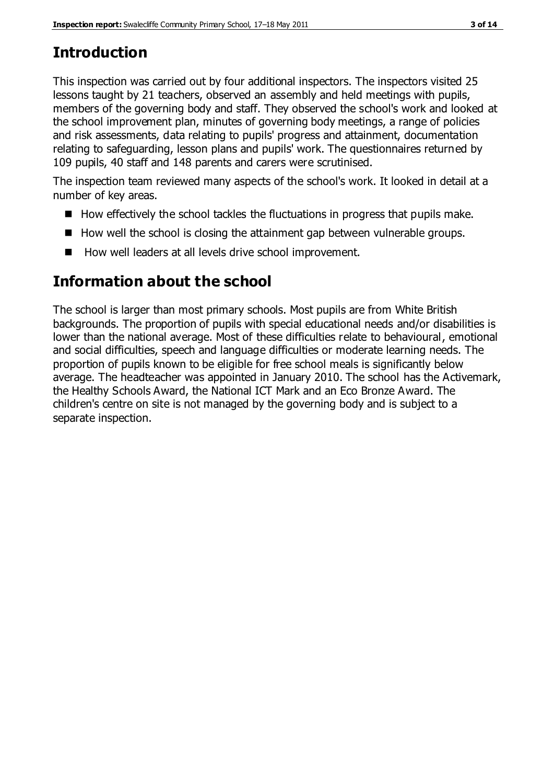# **Introduction**

This inspection was carried out by four additional inspectors. The inspectors visited 25 lessons taught by 21 teachers, observed an assembly and held meetings with pupils, members of the governing body and staff. They observed the school's work and looked at the school improvement plan, minutes of governing body meetings, a range of policies and risk assessments, data relating to pupils' progress and attainment, documentation relating to safeguarding, lesson plans and pupils' work. The questionnaires returned by 109 pupils, 40 staff and 148 parents and carers were scrutinised.

The inspection team reviewed many aspects of the school's work. It looked in detail at a number of key areas.

- $\blacksquare$  How effectively the school tackles the fluctuations in progress that pupils make.
- $\blacksquare$  How well the school is closing the attainment gap between vulnerable groups.
- How well leaders at all levels drive school improvement.

# **Information about the school**

The school is larger than most primary schools. Most pupils are from White British backgrounds. The proportion of pupils with special educational needs and/or disabilities is lower than the national average. Most of these difficulties relate to behavioural, emotional and social difficulties, speech and language difficulties or moderate learning needs. The proportion of pupils known to be eligible for free school meals is significantly below average. The headteacher was appointed in January 2010. The school has the Activemark, the Healthy Schools Award, the National ICT Mark and an Eco Bronze Award. The children's centre on site is not managed by the governing body and is subject to a separate inspection.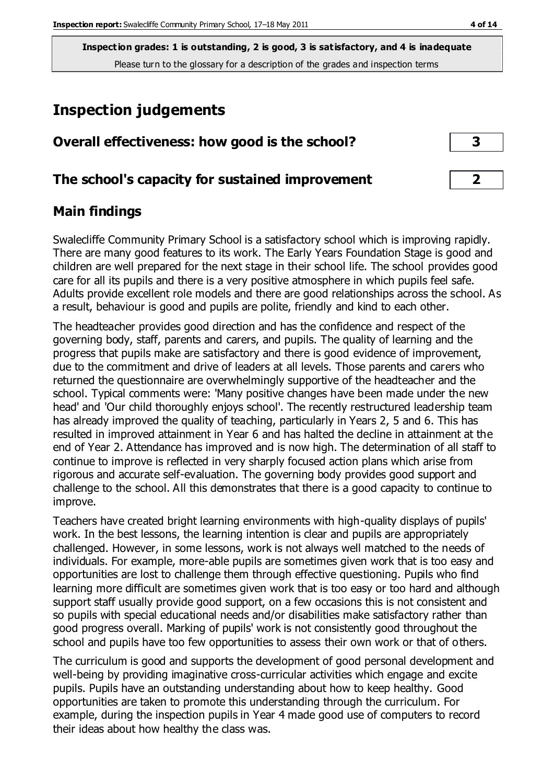**Inspection grades: 1 is outstanding, 2 is good, 3 is satisfactory, and 4 is inadequate** Please turn to the glossary for a description of the grades and inspection terms

# **Inspection judgements**

| Overall effectiveness: how good is the school?  |  |
|-------------------------------------------------|--|
| The school's capacity for sustained improvement |  |

## **Main findings**

Swalecliffe Community Primary School is a satisfactory school which is improving rapidly. There are many good features to its work. The Early Years Foundation Stage is good and children are well prepared for the next stage in their school life. The school provides good care for all its pupils and there is a very positive atmosphere in which pupils feel safe. Adults provide excellent role models and there are good relationships across the school. As a result, behaviour is good and pupils are polite, friendly and kind to each other.

The headteacher provides good direction and has the confidence and respect of the governing body, staff, parents and carers, and pupils. The quality of learning and the progress that pupils make are satisfactory and there is good evidence of improvement, due to the commitment and drive of leaders at all levels. Those parents and carers who returned the questionnaire are overwhelmingly supportive of the headteacher and the school. Typical comments were: 'Many positive changes have been made under the new head' and 'Our child thoroughly enjoys school'. The recently restructured leadership team has already improved the quality of teaching, particularly in Years 2, 5 and 6. This has resulted in improved attainment in Year 6 and has halted the decline in attainment at the end of Year 2. Attendance has improved and is now high. The determination of all staff to continue to improve is reflected in very sharply focused action plans which arise from rigorous and accurate self-evaluation. The governing body provides good support and challenge to the school. All this demonstrates that there is a good capacity to continue to improve.

Teachers have created bright learning environments with high-quality displays of pupils' work. In the best lessons, the learning intention is clear and pupils are appropriately challenged. However, in some lessons, work is not always well matched to the needs of individuals. For example, more-able pupils are sometimes given work that is too easy and opportunities are lost to challenge them through effective questioning. Pupils who find learning more difficult are sometimes given work that is too easy or too hard and although support staff usually provide good support, on a few occasions this is not consistent and so pupils with special educational needs and/or disabilities make satisfactory rather than good progress overall. Marking of pupils' work is not consistently good throughout the school and pupils have too few opportunities to assess their own work or that of others.

The curriculum is good and supports the development of good personal development and well-being by providing imaginative cross-curricular activities which engage and excite pupils. Pupils have an outstanding understanding about how to keep healthy. Good opportunities are taken to promote this understanding through the curriculum. For example, during the inspection pupils in Year 4 made good use of computers to record their ideas about how healthy the class was.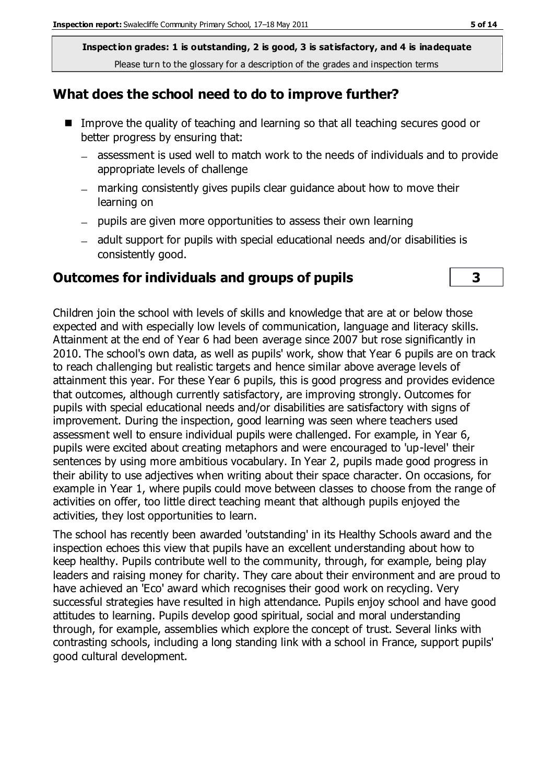**Inspection grades: 1 is outstanding, 2 is good, 3 is satisfactory, and 4 is inadequate** Please turn to the glossary for a description of the grades and inspection terms

#### **What does the school need to do to improve further?**

- Improve the quality of teaching and learning so that all teaching secures good or better progress by ensuring that:
	- assessment is used well to match work to the needs of individuals and to provide appropriate levels of challenge
	- marking consistently gives pupils clear guidance about how to move their learning on
	- pupils are given more opportunities to assess their own learning
	- adult support for pupils with special educational needs and/or disabilities is consistently good.

#### **Outcomes for individuals and groups of pupils 3**

Children join the school with levels of skills and knowledge that are at or below those expected and with especially low levels of communication, language and literacy skills. Attainment at the end of Year 6 had been average since 2007 but rose significantly in 2010. The school's own data, as well as pupils' work, show that Year 6 pupils are on track to reach challenging but realistic targets and hence similar above average levels of attainment this year. For these Year 6 pupils, this is good progress and provides evidence that outcomes, although currently satisfactory, are improving strongly. Outcomes for pupils with special educational needs and/or disabilities are satisfactory with signs of improvement. During the inspection, good learning was seen where teachers used assessment well to ensure individual pupils were challenged. For example, in Year 6, pupils were excited about creating metaphors and were encouraged to 'up-level' their sentences by using more ambitious vocabulary. In Year 2, pupils made good progress in their ability to use adjectives when writing about their space character. On occasions, for example in Year 1, where pupils could move between classes to choose from the range of activities on offer, too little direct teaching meant that although pupils enjoyed the activities, they lost opportunities to learn.

The school has recently been awarded 'outstanding' in its Healthy Schools award and the inspection echoes this view that pupils have an excellent understanding about how to keep healthy. Pupils contribute well to the community, through, for example, being play leaders and raising money for charity. They care about their environment and are proud to have achieved an 'Eco' award which recognises their good work on recycling. Very successful strategies have resulted in high attendance. Pupils enjoy school and have good attitudes to learning. Pupils develop good spiritual, social and moral understanding through, for example, assemblies which explore the concept of trust. Several links with contrasting schools, including a long standing link with a school in France, support pupils' good cultural development.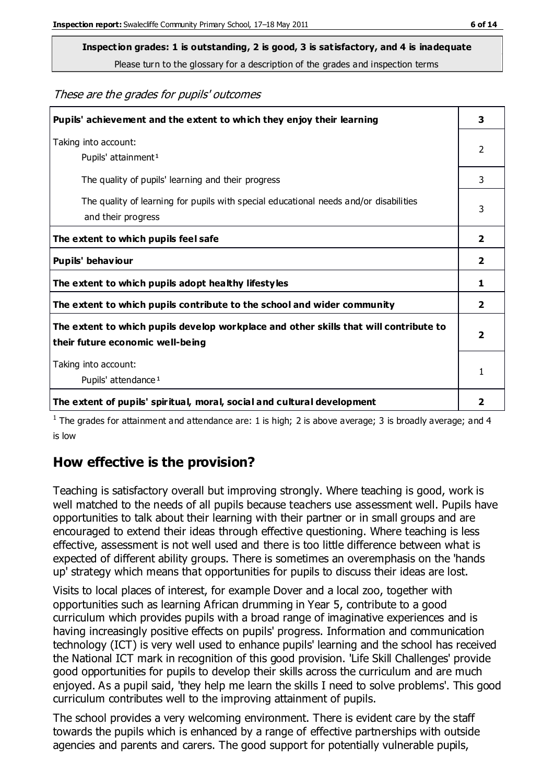Please turn to the glossary for a description of the grades and inspection terms

These are the grades for pupils' outcomes

| Pupils' achievement and the extent to which they enjoy their learning                                                     | 3                       |
|---------------------------------------------------------------------------------------------------------------------------|-------------------------|
| Taking into account:<br>Pupils' attainment <sup>1</sup>                                                                   | 2                       |
| The quality of pupils' learning and their progress                                                                        | 3                       |
| The quality of learning for pupils with special educational needs and/or disabilities<br>and their progress               | 3                       |
| The extent to which pupils feel safe                                                                                      | $\mathbf{2}$            |
| Pupils' behaviour                                                                                                         | 2                       |
| The extent to which pupils adopt healthy lifestyles                                                                       | 1                       |
| The extent to which pupils contribute to the school and wider community                                                   | $\mathbf{2}$            |
| The extent to which pupils develop workplace and other skills that will contribute to<br>their future economic well-being | $\overline{\mathbf{2}}$ |
| Taking into account:<br>Pupils' attendance <sup>1</sup>                                                                   | 1                       |
| The extent of pupils' spiritual, moral, social and cultural development                                                   | 2                       |

<sup>1</sup> The grades for attainment and attendance are: 1 is high; 2 is above average; 3 is broadly average; and 4 is low

# **How effective is the provision?**

Teaching is satisfactory overall but improving strongly. Where teaching is good, work is well matched to the needs of all pupils because teachers use assessment well. Pupils have opportunities to talk about their learning with their partner or in small groups and are encouraged to extend their ideas through effective questioning. Where teaching is less effective, assessment is not well used and there is too little difference between what is expected of different ability groups. There is sometimes an overemphasis on the 'hands up' strategy which means that opportunities for pupils to discuss their ideas are lost.

Visits to local places of interest, for example Dover and a local zoo, together with opportunities such as learning African drumming in Year 5, contribute to a good curriculum which provides pupils with a broad range of imaginative experiences and is having increasingly positive effects on pupils' progress. Information and communication technology (ICT) is very well used to enhance pupils' learning and the school has received the National ICT mark in recognition of this good provision. 'Life Skill Challenges' provide good opportunities for pupils to develop their skills across the curriculum and are much enjoyed. As a pupil said, 'they help me learn the skills I need to solve problems'. This good curriculum contributes well to the improving attainment of pupils.

The school provides a very welcoming environment. There is evident care by the staff towards the pupils which is enhanced by a range of effective partnerships with outside agencies and parents and carers. The good support for potentially vulnerable pupils,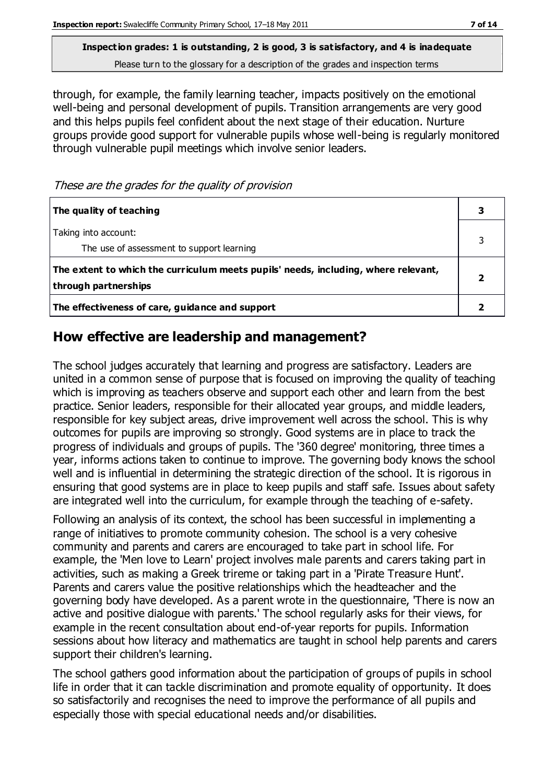Please turn to the glossary for a description of the grades and inspection terms

through, for example, the family learning teacher, impacts positively on the emotional well-being and personal development of pupils. Transition arrangements are very good and this helps pupils feel confident about the next stage of their education. Nurture groups provide good support for vulnerable pupils whose well-being is regularly monitored through vulnerable pupil meetings which involve senior leaders.

#### These are the grades for the quality of provision

| The quality of teaching                                                                                    |  |
|------------------------------------------------------------------------------------------------------------|--|
| Taking into account:<br>The use of assessment to support learning                                          |  |
| The extent to which the curriculum meets pupils' needs, including, where relevant,<br>through partnerships |  |
| The effectiveness of care, guidance and support                                                            |  |

## **How effective are leadership and management?**

The school judges accurately that learning and progress are satisfactory. Leaders are united in a common sense of purpose that is focused on improving the quality of teaching which is improving as teachers observe and support each other and learn from the best practice. Senior leaders, responsible for their allocated year groups, and middle leaders, responsible for key subject areas, drive improvement well across the school. This is why outcomes for pupils are improving so strongly. Good systems are in place to track the progress of individuals and groups of pupils. The '360 degree' monitoring, three times a year, informs actions taken to continue to improve. The governing body knows the school well and is influential in determining the strategic direction of the school. It is rigorous in ensuring that good systems are in place to keep pupils and staff safe. Issues about safety are integrated well into the curriculum, for example through the teaching of e-safety.

Following an analysis of its context, the school has been successful in implementing a range of initiatives to promote community cohesion. The school is a very cohesive community and parents and carers are encouraged to take part in school life. For example, the 'Men love to Learn' project involves male parents and carers taking part in activities, such as making a Greek trireme or taking part in a 'Pirate Treasure Hunt'. Parents and carers value the positive relationships which the headteacher and the governing body have developed. As a parent wrote in the questionnaire, 'There is now an active and positive dialogue with parents.' The school regularly asks for their views, for example in the recent consultation about end-of-year reports for pupils. Information sessions about how literacy and mathematics are taught in school help parents and carers support their children's learning.

The school gathers good information about the participation of groups of pupils in school life in order that it can tackle discrimination and promote equality of opportunity. It does so satisfactorily and recognises the need to improve the performance of all pupils and especially those with special educational needs and/or disabilities.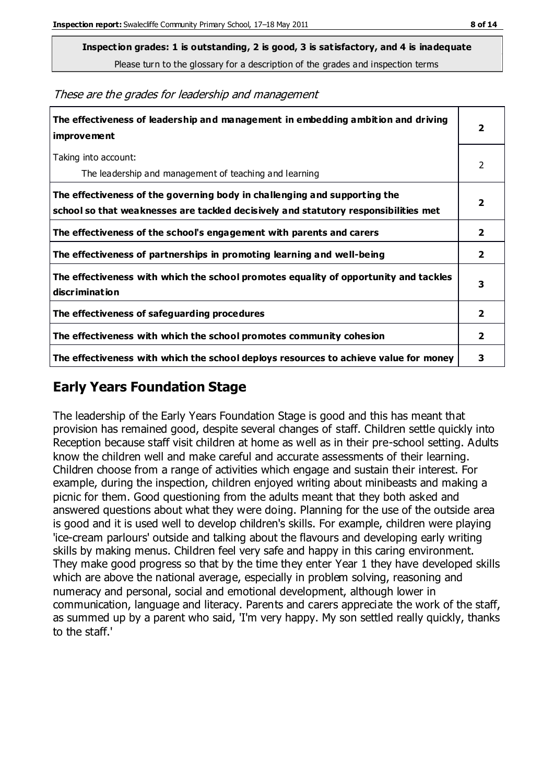Please turn to the glossary for a description of the grades and inspection terms

| These are the grades for leadership and management |  |
|----------------------------------------------------|--|
|----------------------------------------------------|--|

| The effectiveness of leadership and management in embedding ambition and driving<br>improvement                                                                  | $\overline{\mathbf{2}}$ |
|------------------------------------------------------------------------------------------------------------------------------------------------------------------|-------------------------|
| Taking into account:<br>The leadership and management of teaching and learning                                                                                   | 2                       |
| The effectiveness of the governing body in challenging and supporting the<br>school so that weaknesses are tackled decisively and statutory responsibilities met | 2                       |
| The effectiveness of the school's engagement with parents and carers                                                                                             | 2                       |
| The effectiveness of partnerships in promoting learning and well-being                                                                                           | 2                       |
| The effectiveness with which the school promotes equality of opportunity and tackles<br>discrimination                                                           | 3                       |
| The effectiveness of safeguarding procedures                                                                                                                     | 2                       |
| The effectiveness with which the school promotes community cohesion                                                                                              | $\overline{\mathbf{2}}$ |
| The effectiveness with which the school deploys resources to achieve value for money                                                                             | 3                       |

# **Early Years Foundation Stage**

The leadership of the Early Years Foundation Stage is good and this has meant that provision has remained good, despite several changes of staff. Children settle quickly into Reception because staff visit children at home as well as in their pre-school setting. Adults know the children well and make careful and accurate assessments of their learning. Children choose from a range of activities which engage and sustain their interest. For example, during the inspection, children enjoyed writing about minibeasts and making a picnic for them. Good questioning from the adults meant that they both asked and answered questions about what they were doing. Planning for the use of the outside area is good and it is used well to develop children's skills. For example, children were playing 'ice-cream parlours' outside and talking about the flavours and developing early writing skills by making menus. Children feel very safe and happy in this caring environment. They make good progress so that by the time they enter Year 1 they have developed skills which are above the national average, especially in problem solving, reasoning and numeracy and personal, social and emotional development, although lower in communication, language and literacy. Parents and carers appreciate the work of the staff, as summed up by a parent who said, 'I'm very happy. My son settled really quickly, thanks to the staff.'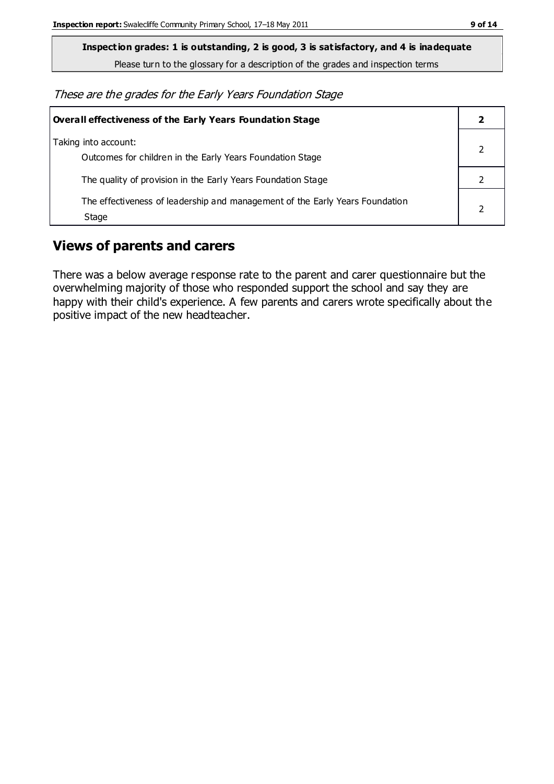Please turn to the glossary for a description of the grades and inspection terms

These are the grades for the Early Years Foundation Stage

| <b>Overall effectiveness of the Early Years Foundation Stage</b>                      |  |
|---------------------------------------------------------------------------------------|--|
| Taking into account:<br>Outcomes for children in the Early Years Foundation Stage     |  |
| The quality of provision in the Early Years Foundation Stage                          |  |
| The effectiveness of leadership and management of the Early Years Foundation<br>Stage |  |

## **Views of parents and carers**

There was a below average response rate to the parent and carer questionnaire but the overwhelming majority of those who responded support the school and say they are happy with their child's experience. A few parents and carers wrote specifically about the positive impact of the new headteacher.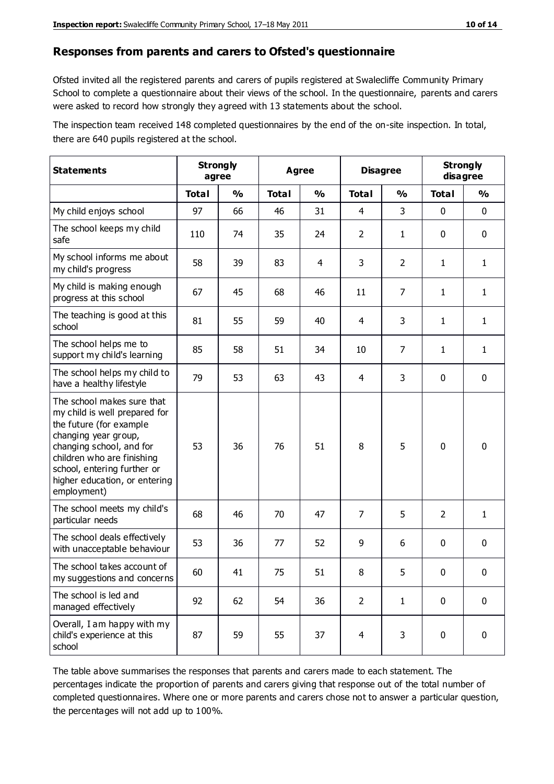#### **Responses from parents and carers to Ofsted's questionnaire**

Ofsted invited all the registered parents and carers of pupils registered at Swalecliffe Community Primary School to complete a questionnaire about their views of the school. In the questionnaire, parents and carers were asked to record how strongly they agreed with 13 statements about the school.

The inspection team received 148 completed questionnaires by the end of the on-site inspection. In total, there are 640 pupils registered at the school.

| <b>Statements</b>                                                                                                                                                                                                                                       | <b>Strongly</b><br>agree |               | <b>Agree</b> |               | <b>Disagree</b> |                | <b>Strongly</b><br>disagree |              |
|---------------------------------------------------------------------------------------------------------------------------------------------------------------------------------------------------------------------------------------------------------|--------------------------|---------------|--------------|---------------|-----------------|----------------|-----------------------------|--------------|
|                                                                                                                                                                                                                                                         | <b>Total</b>             | $\frac{0}{0}$ | <b>Total</b> | $\frac{0}{0}$ | <b>Total</b>    | $\frac{0}{0}$  | <b>Total</b>                | %            |
| My child enjoys school                                                                                                                                                                                                                                  | 97                       | 66            | 46           | 31            | 4               | 3              | $\mathbf 0$                 | $\mathbf 0$  |
| The school keeps my child<br>safe                                                                                                                                                                                                                       | 110                      | 74            | 35           | 24            | $\overline{2}$  | $\mathbf{1}$   | $\mathbf 0$                 | $\mathbf 0$  |
| My school informs me about<br>my child's progress                                                                                                                                                                                                       | 58                       | 39            | 83           | 4             | 3               | $\overline{2}$ | 1                           | $\mathbf{1}$ |
| My child is making enough<br>progress at this school                                                                                                                                                                                                    | 67                       | 45            | 68           | 46            | 11              | $\overline{7}$ | 1                           | 1            |
| The teaching is good at this<br>school                                                                                                                                                                                                                  | 81                       | 55            | 59           | 40            | 4               | 3              | 1                           | $\mathbf{1}$ |
| The school helps me to<br>support my child's learning                                                                                                                                                                                                   | 85                       | 58            | 51           | 34            | 10              | $\overline{7}$ | 1                           | $\mathbf{1}$ |
| The school helps my child to<br>have a healthy lifestyle                                                                                                                                                                                                | 79                       | 53            | 63           | 43            | 4               | 3              | $\mathbf 0$                 | $\mathbf 0$  |
| The school makes sure that<br>my child is well prepared for<br>the future (for example<br>changing year group,<br>changing school, and for<br>children who are finishing<br>school, entering further or<br>higher education, or entering<br>employment) | 53                       | 36            | 76           | 51            | 8               | 5              | $\mathbf 0$                 | $\mathbf 0$  |
| The school meets my child's<br>particular needs                                                                                                                                                                                                         | 68                       | 46            | 70           | 47            | $\overline{7}$  | 5              | $\overline{2}$              | 1            |
| The school deals effectively<br>with unacceptable behaviour                                                                                                                                                                                             | 53                       | 36            | 77           | 52            | 9               | 6              | 0                           | $\mathbf 0$  |
| The school takes account of<br>my suggestions and concerns                                                                                                                                                                                              | 60                       | 41            | 75           | 51            | 8               | 5              | 0                           | 0            |
| The school is led and<br>managed effectively                                                                                                                                                                                                            | 92                       | 62            | 54           | 36            | $\overline{2}$  | $\mathbf{1}$   | $\mathbf 0$                 | $\mathbf 0$  |
| Overall, I am happy with my<br>child's experience at this<br>school                                                                                                                                                                                     | 87                       | 59            | 55           | 37            | $\overline{4}$  | 3              | $\mathbf 0$                 | $\mathbf 0$  |

The table above summarises the responses that parents and carers made to each statement. The percentages indicate the proportion of parents and carers giving that response out of the total number of completed questionnaires. Where one or more parents and carers chose not to answer a particular question, the percentages will not add up to 100%.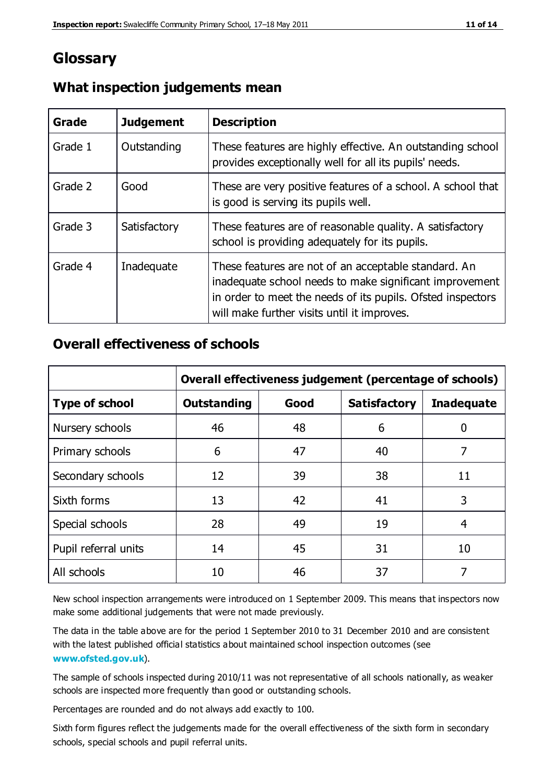# **Glossary**

| Grade   | <b>Judgement</b> | <b>Description</b>                                                                                                                                                                                                            |
|---------|------------------|-------------------------------------------------------------------------------------------------------------------------------------------------------------------------------------------------------------------------------|
| Grade 1 | Outstanding      | These features are highly effective. An outstanding school<br>provides exceptionally well for all its pupils' needs.                                                                                                          |
| Grade 2 | Good             | These are very positive features of a school. A school that<br>is good is serving its pupils well.                                                                                                                            |
| Grade 3 | Satisfactory     | These features are of reasonable quality. A satisfactory<br>school is providing adequately for its pupils.                                                                                                                    |
| Grade 4 | Inadequate       | These features are not of an acceptable standard. An<br>inadequate school needs to make significant improvement<br>in order to meet the needs of its pupils. Ofsted inspectors<br>will make further visits until it improves. |

#### **What inspection judgements mean**

## **Overall effectiveness of schools**

|                       | Overall effectiveness judgement (percentage of schools) |      |                     |                   |
|-----------------------|---------------------------------------------------------|------|---------------------|-------------------|
| <b>Type of school</b> | <b>Outstanding</b>                                      | Good | <b>Satisfactory</b> | <b>Inadequate</b> |
| Nursery schools       | 46                                                      | 48   | 6                   |                   |
| Primary schools       | 6                                                       | 47   | 40                  | 7                 |
| Secondary schools     | 12                                                      | 39   | 38                  | 11                |
| Sixth forms           | 13                                                      | 42   | 41                  | 3                 |
| Special schools       | 28                                                      | 49   | 19                  | 4                 |
| Pupil referral units  | 14                                                      | 45   | 31                  | 10                |
| All schools           | 10                                                      | 46   | 37                  |                   |

New school inspection arrangements were introduced on 1 September 2009. This means that inspectors now make some additional judgements that were not made previously.

The data in the table above are for the period 1 September 2010 to 31 December 2010 and are consistent with the latest published official statistics about maintained school inspection outcomes (see **[www.ofsted.gov.uk](http://www.ofsted.gov.uk/)**).

The sample of schools inspected during 2010/11 was not representative of all schools nationally, as weaker schools are inspected more frequently than good or outstanding schools.

Percentages are rounded and do not always add exactly to 100.

Sixth form figures reflect the judgements made for the overall effectiveness of the sixth form in secondary schools, special schools and pupil referral units.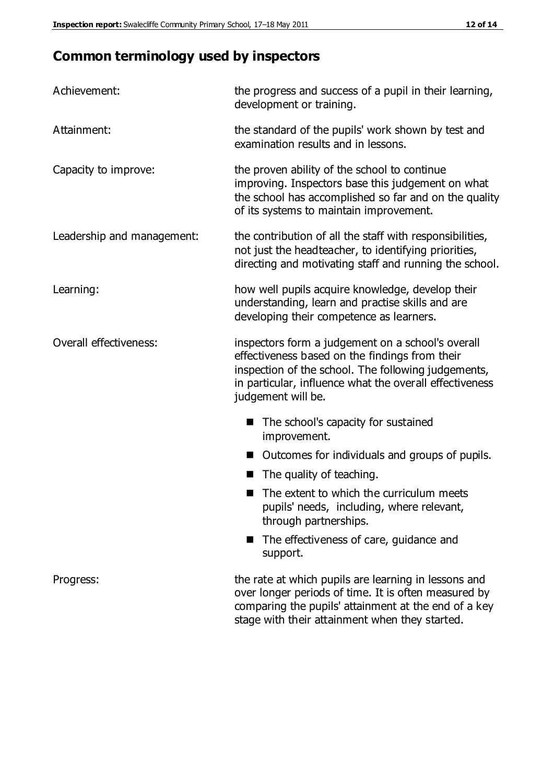# **Common terminology used by inspectors**

| Achievement:                  | the progress and success of a pupil in their learning,<br>development or training.                                                                                                                                                          |  |  |
|-------------------------------|---------------------------------------------------------------------------------------------------------------------------------------------------------------------------------------------------------------------------------------------|--|--|
| Attainment:                   | the standard of the pupils' work shown by test and<br>examination results and in lessons.                                                                                                                                                   |  |  |
| Capacity to improve:          | the proven ability of the school to continue<br>improving. Inspectors base this judgement on what<br>the school has accomplished so far and on the quality<br>of its systems to maintain improvement.                                       |  |  |
| Leadership and management:    | the contribution of all the staff with responsibilities,<br>not just the headteacher, to identifying priorities,<br>directing and motivating staff and running the school.                                                                  |  |  |
| Learning:                     | how well pupils acquire knowledge, develop their<br>understanding, learn and practise skills and are<br>developing their competence as learners.                                                                                            |  |  |
| <b>Overall effectiveness:</b> | inspectors form a judgement on a school's overall<br>effectiveness based on the findings from their<br>inspection of the school. The following judgements,<br>in particular, influence what the overall effectiveness<br>judgement will be. |  |  |
|                               | The school's capacity for sustained<br>improvement.                                                                                                                                                                                         |  |  |
|                               | Outcomes for individuals and groups of pupils.                                                                                                                                                                                              |  |  |
|                               | The quality of teaching.                                                                                                                                                                                                                    |  |  |
|                               | The extent to which the curriculum meets<br>pupils' needs, including, where relevant,<br>through partnerships.                                                                                                                              |  |  |
|                               | The effectiveness of care, guidance and<br>support.                                                                                                                                                                                         |  |  |
| Progress:                     | the rate at which pupils are learning in lessons and<br>over longer periods of time. It is often measured by<br>comparing the pupils' attainment at the end of a key                                                                        |  |  |

stage with their attainment when they started.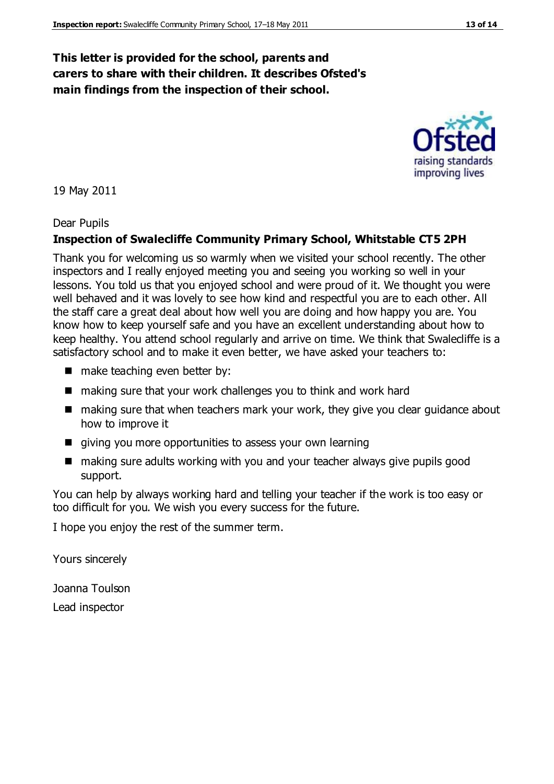## **This letter is provided for the school, parents and carers to share with their children. It describes Ofsted's main findings from the inspection of their school.**

19 May 2011

#### Dear Pupils

#### **Inspection of Swalecliffe Community Primary School, Whitstable CT5 2PH**

Thank you for welcoming us so warmly when we visited your school recently. The other inspectors and I really enjoyed meeting you and seeing you working so well in your lessons. You told us that you enjoyed school and were proud of it. We thought you were well behaved and it was lovely to see how kind and respectful you are to each other. All the staff care a great deal about how well you are doing and how happy you are. You know how to keep yourself safe and you have an excellent understanding about how to keep healthy. You attend school regularly and arrive on time. We think that Swalecliffe is a satisfactory school and to make it even better, we have asked your teachers to:

- make teaching even better by:
- making sure that your work challenges you to think and work hard
- making sure that when teachers mark your work, they give you clear guidance about how to improve it
- qiving you more opportunities to assess your own learning
- making sure adults working with you and your teacher always give pupils good support.

You can help by always working hard and telling your teacher if the work is too easy or too difficult for you. We wish you every success for the future.

I hope you enjoy the rest of the summer term.

Yours sincerely

Joanna Toulson Lead inspector